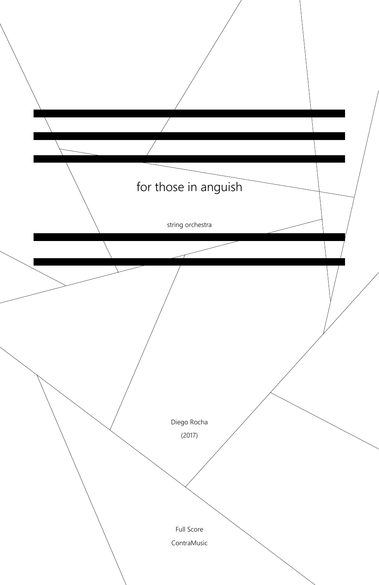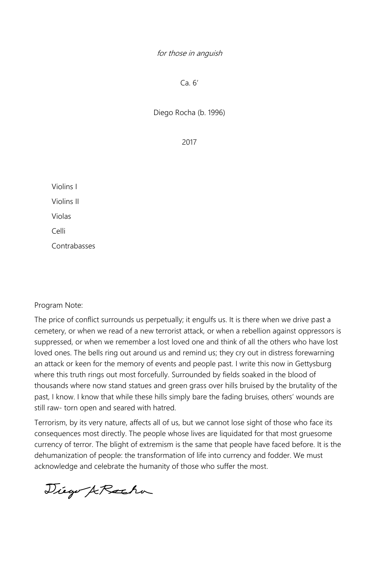## for those in anguish

Ca. 6'

Diego Rocha (b. 1996)

2017

Violins I Violins II Violas Celli Contrabasses

Program Note:

The price of conflict surrounds us perpetually; it engulfs us. It is there when we drive past a cemetery, or when we read of a new terrorist attack, or when a rebellion against oppressors is suppressed, or when we remember a lost loved one and think of all the others who have lost loved ones. The bells ring out around us and remind us; they cry out in distress forewarning an attack or keen for the memory of events and people past. I write this now in Gettysburg where this truth rings out most forcefully. Surrounded by fields soaked in the blood of thousands where now stand statues and green grass over hills bruised by the brutality of the past, I know. I know that while these hills simply bare the fading bruises, others' wounds are still raw- torn open and seared with hatred.

Terrorism, by its very nature, affects all of us, but we cannot lose sight of those who face its

consequences most directly. The people whose lives are liquidated for that most gruesome currency of terror. The blight of extremism is the same that people have faced before. It is the dehumanization of people: the transformation of life into currency and fodder. We must acknowledge and celebrate the humanity of those who suffer the most.

Diego A Rocha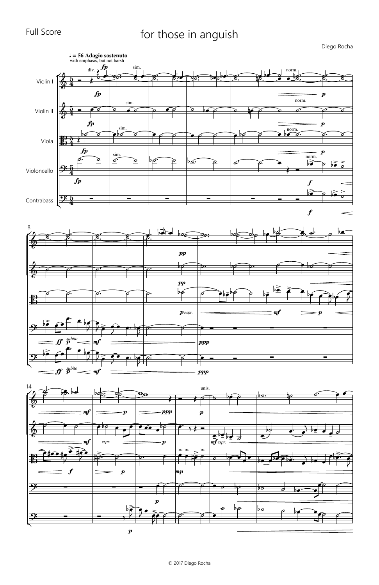## Full Score **Example 2 For those in anguish Full Score**

Diego Rocha



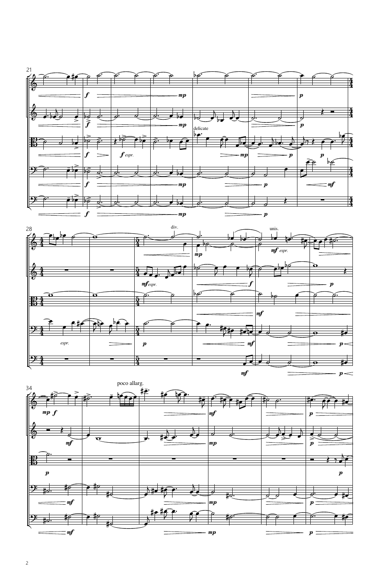







 $2 \left( \frac{1}{2} \right)$ 

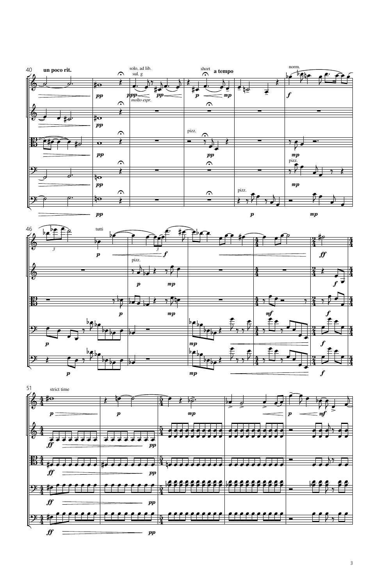



3